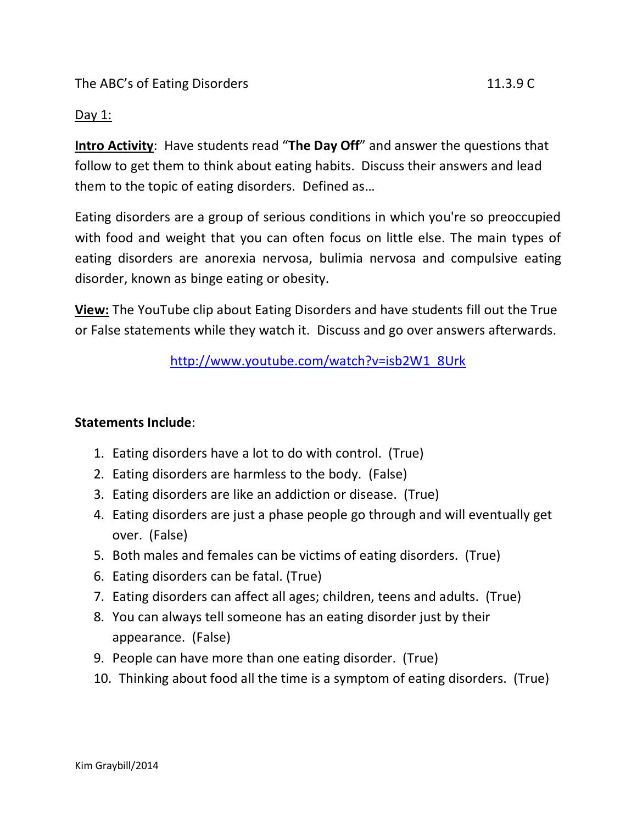The ABC's of Eating Disorders 11.3.9 C

## Day 1:

**Intro Activity**: Have students read "**The Day Off**" and answer the questions that follow to get them to think about eating habits. Discuss their answers and lead them to the topic of eating disorders. Defined as…

Eating disorders are a group of serious conditions in which you're so preoccupied with food and weight that you can often focus on little else. The main types of eating disorders are anorexia nervosa, bulimia nervosa and compulsive eating disorder, known as binge eating or obesity.

**View:** The YouTube clip about Eating Disorders and have students fill out the True or False statements while they watch it. Discuss and go over answers afterwards.

[http://www.youtube.com/watch?v=isb2W1\\_8Urk](http://www.youtube.com/watch?v=isb2W1_8Urk)

## **Statements Include**:

- 1. Eating disorders have a lot to do with control. (True)
- 2. Eating disorders are harmless to the body. (False)
- 3. Eating disorders are like an addiction or disease. (True)
- 4. Eating disorders are just a phase people go through and will eventually get over. (False)
- 5. Both males and females can be victims of eating disorders. (True)
- 6. Eating disorders can be fatal. (True)
- 7. Eating disorders can affect all ages; children, teens and adults. (True)
- 8. You can always tell someone has an eating disorder just by their appearance. (False)
- 9. People can have more than one eating disorder. (True)
- 10. Thinking about food all the time is a symptom of eating disorders. (True)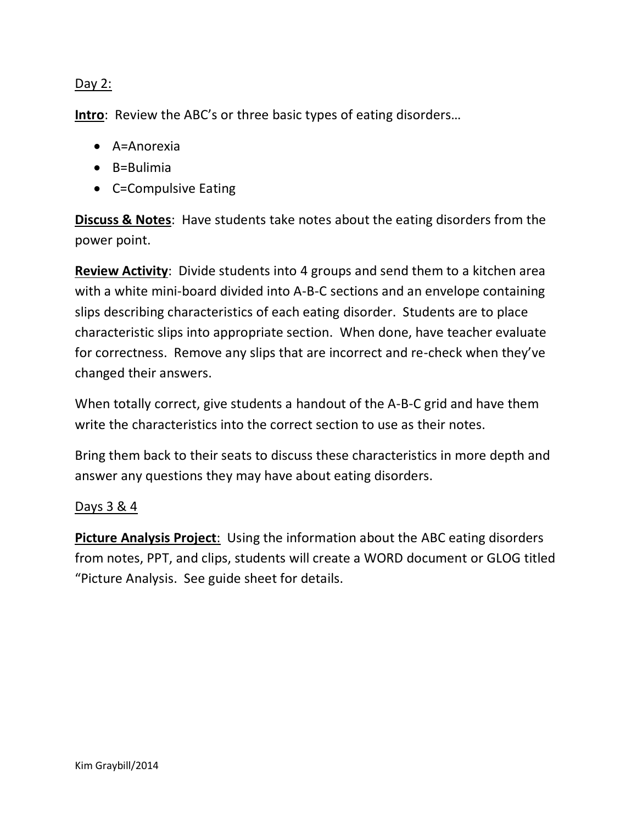## Day 2:

**Intro**: Review the ABC's or three basic types of eating disorders…

- $\bullet$  A=Anorexia
- $\bullet$  B=Bulimia
- C=Compulsive Eating

**Discuss & Notes**: Have students take notes about the eating disorders from the power point.

**Review Activity**: Divide students into 4 groups and send them to a kitchen area with a white mini-board divided into A-B-C sections and an envelope containing slips describing characteristics of each eating disorder. Students are to place characteristic slips into appropriate section. When done, have teacher evaluate for correctness. Remove any slips that are incorrect and re-check when they've changed their answers.

When totally correct, give students a handout of the A-B-C grid and have them write the characteristics into the correct section to use as their notes.

Bring them back to their seats to discuss these characteristics in more depth and answer any questions they may have about eating disorders.

## Days 3 & 4

**Picture Analysis Project**: Using the information about the ABC eating disorders from notes, PPT, and clips, students will create a WORD document or GLOG titled "Picture Analysis. See guide sheet for details.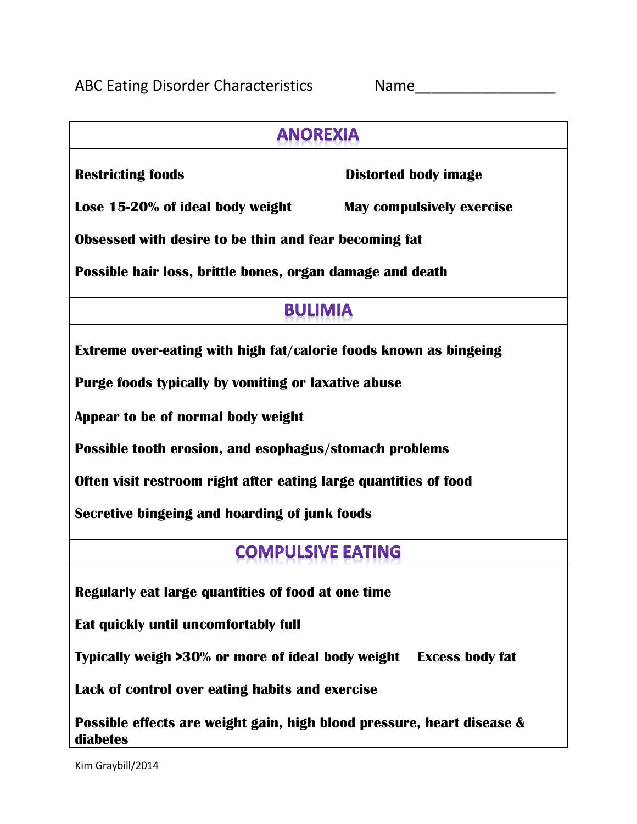| <b>Name</b> |  |  |  |
|-------------|--|--|--|
|             |  |  |  |

| <b>ANOREXIA</b>                                                                    |                                  |  |  |  |
|------------------------------------------------------------------------------------|----------------------------------|--|--|--|
| <b>Restricting foods</b>                                                           | Distorted body image             |  |  |  |
| Lose 15-20% of ideal body weight                                                   | <b>May compulsively exercise</b> |  |  |  |
| Obsessed with desire to be thin and fear becoming fat                              |                                  |  |  |  |
| Possible hair loss, brittle bones, organ damage and death                          |                                  |  |  |  |
| <b>BULIMIA</b>                                                                     |                                  |  |  |  |
| Extreme over-eating with high fat/calorie foods known as bingeing                  |                                  |  |  |  |
| Purge foods typically by vomiting or laxative abuse                                |                                  |  |  |  |
| Appear to be of normal body weight                                                 |                                  |  |  |  |
| Possible tooth erosion, and esophagus/stomach problems                             |                                  |  |  |  |
| Often visit restroom right after eating large quantities of food                   |                                  |  |  |  |
| Secretive bingeing and hoarding of junk foods                                      |                                  |  |  |  |
| <b>COMPULSIVE EATING</b>                                                           |                                  |  |  |  |
| Regularly eat large quantities of food at one time                                 |                                  |  |  |  |
| Eat quickly until uncomfortably full                                               |                                  |  |  |  |
| Typically weigh >30% or more of ideal body weight<br><b>Excess body fat</b>        |                                  |  |  |  |
| Lack of control over eating habits and exercise                                    |                                  |  |  |  |
| Possible effects are weight gain, high blood pressure, heart disease &<br>diabetes |                                  |  |  |  |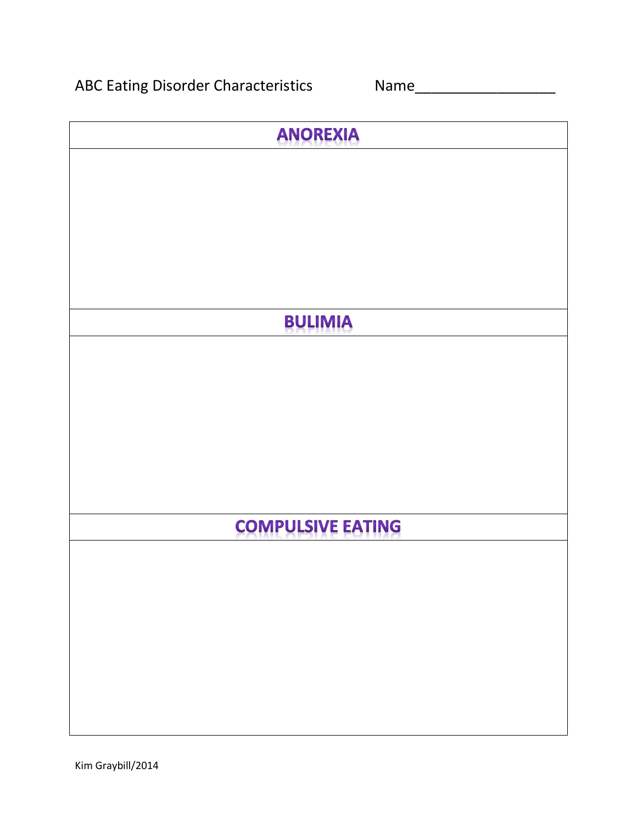